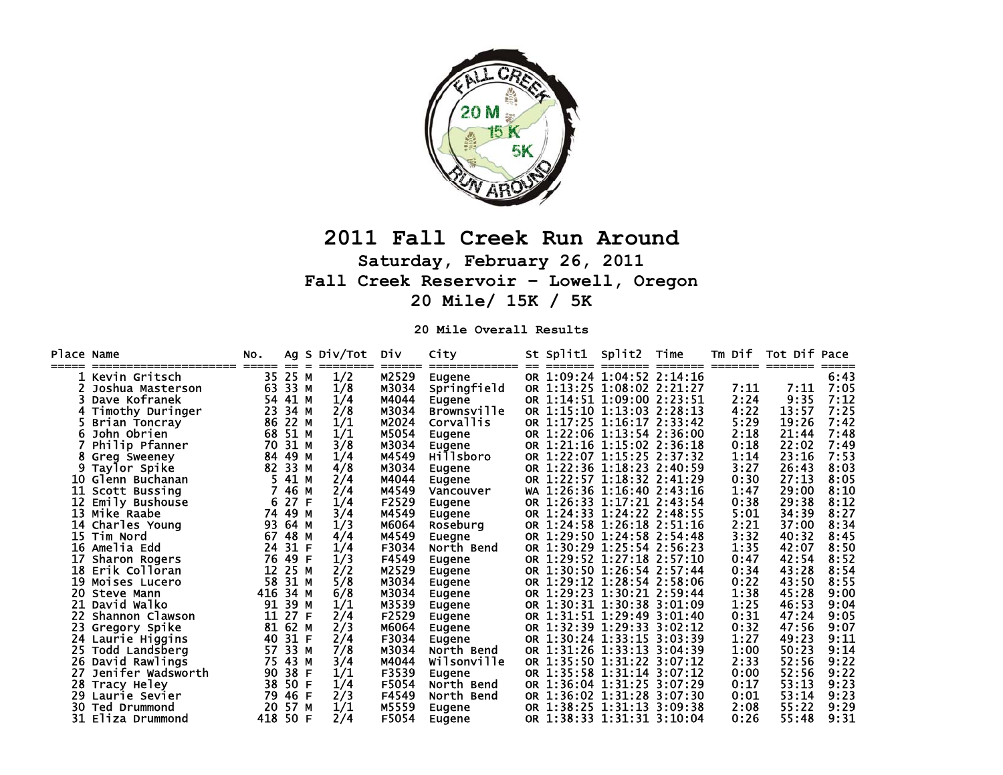

## **2011 Fall Creek Run Around Saturday, February 26, 2011 Fall Creek Reservoir – Lowell, Oregon 20 Mile/ 15K / 5K**

**20 Mile Overall Results** 

| Place Name |                      | NO.         |             | Ag S Div/Tot | Div   | City                    | St Split1                              | Split2 | Time    | Tm Dif | Tot Dif Pace     |      |
|------------|----------------------|-------------|-------------|--------------|-------|-------------------------|----------------------------------------|--------|---------|--------|------------------|------|
|            | Kevin Gritsch        | =====<br>35 | $=$<br>25 M | 1/2          | M2529 | =============<br>Eugene | --------<br>OR 1:09:24 1:04:52 2:14:16 |        | ======= |        | ======== ======= | 6:43 |
|            | Joshua Masterson     | 63          | 33 M        | 1/8          | M3034 | Springfield             | OR 1:13:25 1:08:02 2:21:27             |        |         | 7:11   | 7:11             | 7:05 |
|            | Dave Kofranek        | 54          | 41 M        | 1/4          | M4044 | Eugene                  | OR 1:14:51 1:09:00 2:23:51             |        |         | 2:24   | 9:35             | 7:12 |
|            | Timothy Duringer     | 23          | 34 M        | 2/8          | M3034 | <b>Brownsville</b>      | OR 1:15:10 1:13:03 2:28:13             |        |         | 4:22   | 13:57            | 7:25 |
|            | Brian Toncray        | 86          | 22 M        | 1/1          | M2024 | <b>Corvallis</b>        | OR 1:17:25 1:16:17 2:33:42             |        |         | 5:29   | 19:26            | 7:42 |
|            | John Obrien          | 68          | 51 M        | 1/1          | M5054 | Eugene                  | OR 1:22:06 1:13:54 2:36:00             |        |         | 2:18   | 21:44            | 7:48 |
|            | Philip Pfanner       | 70          | 31 M        | 3/8          | M3034 | Eugene                  | OR 1:21:16 1:15:02 2:36:18             |        |         | 0:18   | 22:02            | 7:49 |
|            | 8 Greg Sweeney       | 84          | 49 M        | 1/4          | M4549 | <b>Hillsboro</b>        | OR 1:22:07 1:15:25 2:37:32             |        |         | 1:14   | 23:16            | 7:53 |
|            | Taylor Spike         | 82          | 33 M        | 4/8          | M3034 | Eugene                  | OR 1:22:36 1:18:23 2:40:59             |        |         | 3:27   | 26:43            | 8:03 |
|            | 10 Glenn Buchanan    |             | 41 M        | 2/4          | M4044 | Eugene                  | OR 1:22:57 1:18:32 2:41:29             |        |         | 0:30   | 27:13            | 8:05 |
| 11.        | Scott Bussing        |             | 46 M        | 2/4          | M4549 | Vancouver               | WA 1:26:36 1:16:40 2:43:16             |        |         | 1:47   | 29:00            | 8:10 |
| 12         | Emily Bushouse       | 6           | 27 F        | 1/4          | F2529 | <b>Eugene</b>           | OR 1:26:33 1:17:21 2:43:54             |        |         | 0:38   | 29:38            | 8:12 |
|            | 13 Mike Raabe        | 74          | 49          | 3/4<br>м     | M4549 | Eugene                  | OR 1:24:33 1:24:22 2:48:55             |        |         | 5:01   | 34:39            | 8:27 |
|            | 14 Charles Young     | 93          | 64 M        | 1/3          | M6064 | Roseburg                | OR 1:24:58 1:26:18 2:51:16             |        |         | 2:21   | 37:00            | 8:34 |
|            | 15 Tim Nord          | 67          | 48 M        | 4/4          | M4549 | Euegne                  | OR 1:29:50 1:24:58 2:54:48             |        |         | 3:32   | 40:32            | 8:45 |
|            | <b>16 Amelia Edd</b> | 24          | 31 F        | 1/4          | F3034 | North Bend              | OR 1:30:29 1:25:54 2:56:23             |        |         | 1:35   | 42:07            | 8:50 |
|            | Sharon Rogers        | 76          | 49          | 1/3<br>F     | F4549 | Eugene                  | OR 1:29:52 1:27:18 2:57:10             |        |         | 0:47   | 42:54            | 8:52 |
|            | 18 Erik Colloran     | 12          | 25 M        | 2/2          | M2529 | Eugene                  | OR 1:30:50 1:26:54 2:57:44             |        |         | 0:34   | 43:28            | 8:54 |
|            | 19 Moises Lucero     | 58          | 31 M        | 5/8          | M3034 | <b>Eugene</b>           | OR 1:29:12 1:28:54 2:58:06             |        |         | 0:22   | 43:50            | 8:55 |
|            | 20 Steve Mann        | 416         | 34 M        | 6/8          | M3034 | Eugene                  | OR 1:29:23 1:30:21 2:59:44             |        |         | 1:38   | 45:28            | 9:00 |
|            | 21 David Walko       | 91          | 39 M        | 1/1          | M3539 | Eugene                  | OR 1:30:31 1:30:38 3:01:09             |        |         | 1:25   | 46:53            | 9:04 |
|            | Shannon Clawson      | 11          | 27 F        | 2/4          | F2529 | Eugene                  | OR 1:31:51 1:29:49 3:01:40             |        |         | 0:31   | 47:24            | 9:05 |
|            | 23 Gregory Spike     | 81          | 62 M        | 2/3          | M6064 | <b>Eugene</b>           | OR 1:32:39 1:29:33 3:02:12             |        |         | 0:32   | 47:56            | 9:07 |
|            | 24 Laurie Higgins    | 40          | 31 F        | 2/4          | F3034 | Eugene                  | OR 1:30:24 1:33:15 3:03:39             |        |         | 1:27   | 49:23            | 9:11 |
| 25.        | Todd Landsberg       | 57          | 33 M        | 7/8          | M3034 | North Bend              | OR 1:31:26 1:33:13 3:04:39             |        |         | 1:00   | 50:23            | 9:14 |
|            | 26 David Rawlings    | 75          | 43 M        | 3/4          | M4044 | Wilsonville             | OR 1:35:50 1:31:22 3:07:12             |        |         | 2:33   | 52:56            | 9:22 |
| 27         | Jenifer Wadsworth    | 90          | 38          | 1/1<br>F     | F3539 | Eugene                  | OR 1:35:58 1:31:14 3:07:12             |        |         | 0:00   | 52:56            | 9:22 |
| 28         | Tracy Heley          | 38          | 50          | F<br>1/4     | F5054 | North Bend              | OR 1:36:04 1:31:25 3:07:29             |        |         | 0:17   | 53:13            | 9:23 |
|            | 29 Laurie Sevier     | 79          | 46          | 2/3<br>F     | F4549 | North Bend              | OR 1:36:02 1:31:28 3:07:30             |        |         | 0:01   | 53:14            | 9:23 |
| 30         | Ted Drummond         | 20          | 57 M        | 1/1          | M5559 | Eugene                  | OR 1:38:25 1:31:13 3:09:38             |        |         | 2:08   | 55:22            | 9:29 |
|            | 31 Eliza Drummond    | 418         | 50          | 2/4<br>F     | F5054 | <b>Eugene</b>           | OR 1:38:33 1:31:31 3:10:04             |        |         | 0:26   | 55:48            | 9:31 |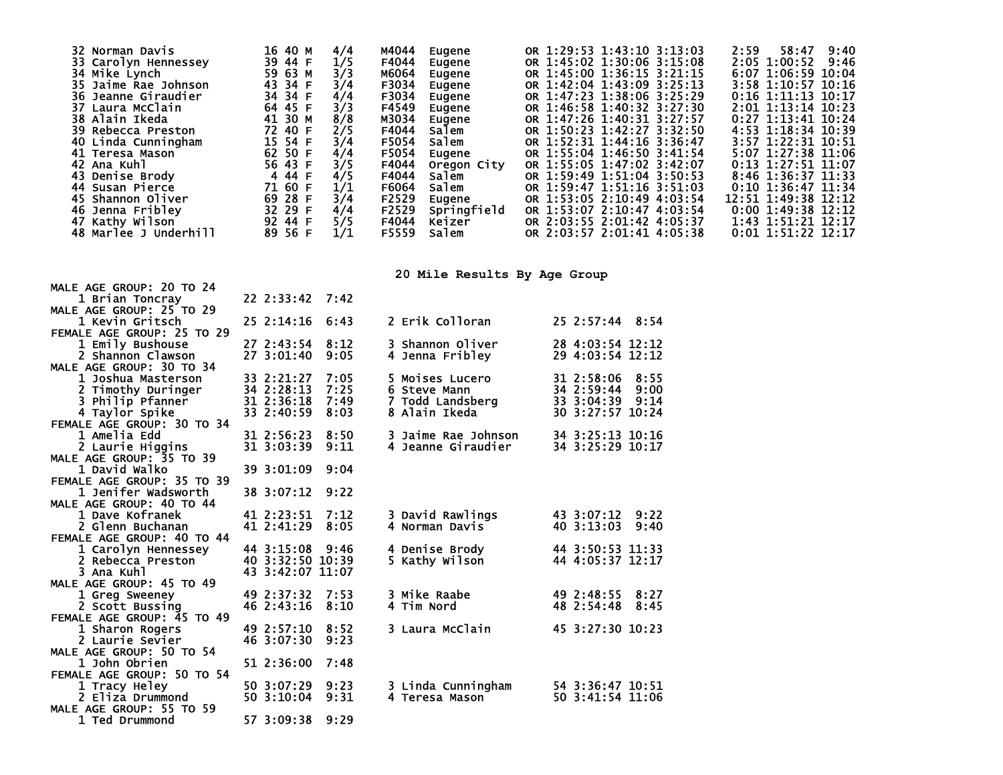| 32 Norman Davis<br>33 Carolyn Hennessey<br>34 Mike Lynch<br>35 Jaime Rae Johnson<br><b>36 Jeanne Giraudier</b><br>37 Laura McClain<br>38 Alain Ikeda<br>39 Rebecca Preston<br>40 Linda Cunningham<br>41 Teresa Mason<br>42 Ana Kuhl<br>43 Denise Brody<br>44 Susan Pierce<br>45 Shannon Oliver<br>46 Jenna Fribley<br>47 Kathy Wilson<br>48 Marlee J Underhill | 16 40 M<br>39 44 F<br>59 63 M<br>43 34 F<br>34 34 F<br>64 45 F<br>41 30 M<br>72 40 F<br>15 54 F<br>62 50 F<br>56 43 F<br>4 44 F<br>71 60 F<br>69 28 F<br>32 29 F<br>92 44 F<br>89 56 F | 4/4<br>1/5<br>3/3<br>3/4<br>4/4<br>3/3<br>8/8<br>2/5<br>3/4<br>4/4<br>3/5<br>4/5<br>1/1<br>3/4<br>4/4<br>5/5<br>1/1 | M4044<br>Eugene<br>F4044<br>Eugene<br>м6064<br>Eugene<br>F3034<br>Eugene<br>F3034<br>Eugene<br>F4549<br>Eugene<br>M3034<br>Eugene<br>F4044<br>Salem<br>F5054<br>Salem<br>F5054<br>Eugene<br>F4044<br>Oregon City<br>F4044<br>salem<br>F6064<br>Salem<br>F2529<br>Eugene<br>Springfield<br>F2529<br>F4044<br>Keizer<br>F5559<br>Salem | OR 1:29:53 1:43:10 3:13:03<br>OR 1:45:02 1:30:06 3:15:08<br>OR 1:45:00 1:36:15 3:21:15<br>OR 1:42:04 1:43:09 3:25:13<br>OR 1:47:23 1:38:06 3:25:29<br>OR 1:46:58 1:40:32 3:27:30<br>OR 1:47:26 1:40:31 3:27:57<br>OR 1:50:23 1:42:27 3:32:50<br>OR 1:52:31 1:44:16 3:36:47<br>OR 1:55:04 1:46:50 3:41:54<br>OR 1:55:05 1:47:02 3:42:07<br>OR 1:59:49 1:51:04 3:50:53<br>OR 1:59:47 1:51:16 3:51:03<br>OR 1:53:05 2:10:49 4:03:54<br>OR 1:53:07 2:10:47 4:03:54<br>OR 2:03:55 2:01:42 4:05:37<br>OR 2:03:57 2:01:41 4:05:38 | 2:59<br>58:47<br>9:40<br>2:05 1:00:52<br>9:46<br>6:07 1:06:59 10:04<br>3:58 1:10:57 10:16<br>$0:16$ 1:11:13 10:17<br>2:01 1:13:14 10:23<br>$0:27$ 1:13:41 10:24<br>4:53 1:18:34 10:39<br>3:57 1:22:31 10:51<br>5:07 1:27:38 11:06<br>0:13 1:27:51 11:07<br>8:46 1:36:37 11:33<br>0:10 1:36:47 11:34<br>12:51 1:49:38 12:12<br>$0:00$ 1:49:38 12:12<br>1:43 1:51:21 12:17<br>$0:01$ 1:51:22 12:17 |
|----------------------------------------------------------------------------------------------------------------------------------------------------------------------------------------------------------------------------------------------------------------------------------------------------------------------------------------------------------------|----------------------------------------------------------------------------------------------------------------------------------------------------------------------------------------|---------------------------------------------------------------------------------------------------------------------|--------------------------------------------------------------------------------------------------------------------------------------------------------------------------------------------------------------------------------------------------------------------------------------------------------------------------------------|----------------------------------------------------------------------------------------------------------------------------------------------------------------------------------------------------------------------------------------------------------------------------------------------------------------------------------------------------------------------------------------------------------------------------------------------------------------------------------------------------------------------------|--------------------------------------------------------------------------------------------------------------------------------------------------------------------------------------------------------------------------------------------------------------------------------------------------------------------------------------------------------------------------------------------------|
|                                                                                                                                                                                                                                                                                                                                                                |                                                                                                                                                                                        |                                                                                                                     | 20 Mile Results By Age Group                                                                                                                                                                                                                                                                                                         |                                                                                                                                                                                                                                                                                                                                                                                                                                                                                                                            |                                                                                                                                                                                                                                                                                                                                                                                                  |
| MALE AGE GROUP: 20 TO 24                                                                                                                                                                                                                                                                                                                                       |                                                                                                                                                                                        |                                                                                                                     |                                                                                                                                                                                                                                                                                                                                      |                                                                                                                                                                                                                                                                                                                                                                                                                                                                                                                            |                                                                                                                                                                                                                                                                                                                                                                                                  |
| 1 Brian Toncray<br>MALE AGE GROUP: 25 TO 29                                                                                                                                                                                                                                                                                                                    | 22 2:33:42 7:42                                                                                                                                                                        |                                                                                                                     |                                                                                                                                                                                                                                                                                                                                      |                                                                                                                                                                                                                                                                                                                                                                                                                                                                                                                            |                                                                                                                                                                                                                                                                                                                                                                                                  |
| 1 Kevin Gritsch                                                                                                                                                                                                                                                                                                                                                | 25 2:14:16 6:43                                                                                                                                                                        |                                                                                                                     | 2 Erik Colloran                                                                                                                                                                                                                                                                                                                      | 25 2:57:44 8:54                                                                                                                                                                                                                                                                                                                                                                                                                                                                                                            |                                                                                                                                                                                                                                                                                                                                                                                                  |
| FEMALE AGE GROUP: 25 TO 29                                                                                                                                                                                                                                                                                                                                     |                                                                                                                                                                                        |                                                                                                                     |                                                                                                                                                                                                                                                                                                                                      |                                                                                                                                                                                                                                                                                                                                                                                                                                                                                                                            |                                                                                                                                                                                                                                                                                                                                                                                                  |
| 1 Emily Bushouse<br>2 Shannon Clawson                                                                                                                                                                                                                                                                                                                          | 27 2:43:54 8:12<br>27 3:01:40 9:05                                                                                                                                                     |                                                                                                                     | 3 Shannon Oliver<br>4 Jenna Fribley                                                                                                                                                                                                                                                                                                  | 28 4:03:54 12:12<br>29 4:03:54 12:12                                                                                                                                                                                                                                                                                                                                                                                                                                                                                       |                                                                                                                                                                                                                                                                                                                                                                                                  |
| MALE AGE GROUP: 30 TO 34                                                                                                                                                                                                                                                                                                                                       |                                                                                                                                                                                        |                                                                                                                     |                                                                                                                                                                                                                                                                                                                                      |                                                                                                                                                                                                                                                                                                                                                                                                                                                                                                                            |                                                                                                                                                                                                                                                                                                                                                                                                  |
| 1 Joshua Masterson                                                                                                                                                                                                                                                                                                                                             | 33 2:21:27                                                                                                                                                                             | 7:05                                                                                                                | 5 Moises Lucero                                                                                                                                                                                                                                                                                                                      | 31 2:58:06<br>8:55                                                                                                                                                                                                                                                                                                                                                                                                                                                                                                         |                                                                                                                                                                                                                                                                                                                                                                                                  |
| 2 Timothy Duringer                                                                                                                                                                                                                                                                                                                                             | 34 2:28:13                                                                                                                                                                             | 7:25                                                                                                                | 6 Steve Mann                                                                                                                                                                                                                                                                                                                         | 34 2:59:44<br>9:00<br>33 3:04:39 9:14                                                                                                                                                                                                                                                                                                                                                                                                                                                                                      |                                                                                                                                                                                                                                                                                                                                                                                                  |
| 3 Philip Pfanner<br>4 Taylor Spike                                                                                                                                                                                                                                                                                                                             | 31 2:36:18<br>33 2:40:59                                                                                                                                                               | 7:49<br>8:03                                                                                                        | 7 Todd Landsberg<br>8 Alain Ikeda                                                                                                                                                                                                                                                                                                    | 30 3:27:57 10:24                                                                                                                                                                                                                                                                                                                                                                                                                                                                                                           |                                                                                                                                                                                                                                                                                                                                                                                                  |
| FEMALE AGE GROUP: 30 TO 34                                                                                                                                                                                                                                                                                                                                     |                                                                                                                                                                                        |                                                                                                                     |                                                                                                                                                                                                                                                                                                                                      |                                                                                                                                                                                                                                                                                                                                                                                                                                                                                                                            |                                                                                                                                                                                                                                                                                                                                                                                                  |
| 1 Amelia Edd                                                                                                                                                                                                                                                                                                                                                   | 31 2:56:23 8:50                                                                                                                                                                        |                                                                                                                     | 3 Jaime Rae Johnson                                                                                                                                                                                                                                                                                                                  | 34 3:25:13 10:16                                                                                                                                                                                                                                                                                                                                                                                                                                                                                                           |                                                                                                                                                                                                                                                                                                                                                                                                  |
| 2 Laurie Higgins                                                                                                                                                                                                                                                                                                                                               | 31 3:03:39                                                                                                                                                                             | 9:11                                                                                                                | 4 Jeanne Giraudier                                                                                                                                                                                                                                                                                                                   | 34 3:25:29 10:17                                                                                                                                                                                                                                                                                                                                                                                                                                                                                                           |                                                                                                                                                                                                                                                                                                                                                                                                  |
| MALE AGE GROUP: 35 TO 39<br>1 David Walko                                                                                                                                                                                                                                                                                                                      | 39 3:01:09 9:04                                                                                                                                                                        |                                                                                                                     |                                                                                                                                                                                                                                                                                                                                      |                                                                                                                                                                                                                                                                                                                                                                                                                                                                                                                            |                                                                                                                                                                                                                                                                                                                                                                                                  |
| FEMALE AGE GROUP: 35 TO 39                                                                                                                                                                                                                                                                                                                                     |                                                                                                                                                                                        |                                                                                                                     |                                                                                                                                                                                                                                                                                                                                      |                                                                                                                                                                                                                                                                                                                                                                                                                                                                                                                            |                                                                                                                                                                                                                                                                                                                                                                                                  |
| 1 Jenifer Wadsworth                                                                                                                                                                                                                                                                                                                                            | 38 3:07:12 9:22                                                                                                                                                                        |                                                                                                                     |                                                                                                                                                                                                                                                                                                                                      |                                                                                                                                                                                                                                                                                                                                                                                                                                                                                                                            |                                                                                                                                                                                                                                                                                                                                                                                                  |
| MALE AGE GROUP: 40 TO 44                                                                                                                                                                                                                                                                                                                                       |                                                                                                                                                                                        |                                                                                                                     |                                                                                                                                                                                                                                                                                                                                      |                                                                                                                                                                                                                                                                                                                                                                                                                                                                                                                            |                                                                                                                                                                                                                                                                                                                                                                                                  |
| 1 Dave Kofranek<br>2 Glenn Buchanan                                                                                                                                                                                                                                                                                                                            | 41 2:23:51 7:12<br>41 2:41:29                                                                                                                                                          | 8:05                                                                                                                | 3 David Rawlings<br>4 Norman Davis                                                                                                                                                                                                                                                                                                   | 43 3:07:12 9:22<br>40 3:13:03<br>9:40                                                                                                                                                                                                                                                                                                                                                                                                                                                                                      |                                                                                                                                                                                                                                                                                                                                                                                                  |
| FEMALE AGE GROUP: 40 TO 44                                                                                                                                                                                                                                                                                                                                     |                                                                                                                                                                                        |                                                                                                                     |                                                                                                                                                                                                                                                                                                                                      |                                                                                                                                                                                                                                                                                                                                                                                                                                                                                                                            |                                                                                                                                                                                                                                                                                                                                                                                                  |
| 1 Carolyn Hennessey                                                                                                                                                                                                                                                                                                                                            | 44 3:15:08 9:46                                                                                                                                                                        |                                                                                                                     | 4 Denise Brody                                                                                                                                                                                                                                                                                                                       | 44 3:50:53 11:33                                                                                                                                                                                                                                                                                                                                                                                                                                                                                                           |                                                                                                                                                                                                                                                                                                                                                                                                  |
| 2 Rebecca Preston                                                                                                                                                                                                                                                                                                                                              | 40 3:32:50 10:39                                                                                                                                                                       |                                                                                                                     | 5 Kathy Wilson                                                                                                                                                                                                                                                                                                                       | 44 4:05:37 12:17                                                                                                                                                                                                                                                                                                                                                                                                                                                                                                           |                                                                                                                                                                                                                                                                                                                                                                                                  |
| 3 Ana Kuhl<br>MALE AGE GROUP: 45 TO 49                                                                                                                                                                                                                                                                                                                         | 43 3:42:07 11:07                                                                                                                                                                       |                                                                                                                     |                                                                                                                                                                                                                                                                                                                                      |                                                                                                                                                                                                                                                                                                                                                                                                                                                                                                                            |                                                                                                                                                                                                                                                                                                                                                                                                  |
| 1 Greg Sweeney                                                                                                                                                                                                                                                                                                                                                 | 49 2:37:32 7:53                                                                                                                                                                        |                                                                                                                     | 3 Mike Raabe                                                                                                                                                                                                                                                                                                                         | 49 2:48:55 8:27                                                                                                                                                                                                                                                                                                                                                                                                                                                                                                            |                                                                                                                                                                                                                                                                                                                                                                                                  |
| 2 Scott Bussing                                                                                                                                                                                                                                                                                                                                                | 46 2:43:16 8:10                                                                                                                                                                        |                                                                                                                     | 4 Tim Nord                                                                                                                                                                                                                                                                                                                           | 48 2:54:48 8:45                                                                                                                                                                                                                                                                                                                                                                                                                                                                                                            |                                                                                                                                                                                                                                                                                                                                                                                                  |
| FEMALE AGE GROUP: 45 TO 49                                                                                                                                                                                                                                                                                                                                     |                                                                                                                                                                                        |                                                                                                                     |                                                                                                                                                                                                                                                                                                                                      |                                                                                                                                                                                                                                                                                                                                                                                                                                                                                                                            |                                                                                                                                                                                                                                                                                                                                                                                                  |
| 1 Sharon Rogers                                                                                                                                                                                                                                                                                                                                                | 49 2:57:10 8:52                                                                                                                                                                        |                                                                                                                     | 3 Laura McClain                                                                                                                                                                                                                                                                                                                      | 45 3:27:30 10:23                                                                                                                                                                                                                                                                                                                                                                                                                                                                                                           |                                                                                                                                                                                                                                                                                                                                                                                                  |
| 2 Laurie Sevier<br>MALE AGE GROUP: 50 TO 54                                                                                                                                                                                                                                                                                                                    | 46 3:07:30 9:23                                                                                                                                                                        |                                                                                                                     |                                                                                                                                                                                                                                                                                                                                      |                                                                                                                                                                                                                                                                                                                                                                                                                                                                                                                            |                                                                                                                                                                                                                                                                                                                                                                                                  |
| 1 John Obrien                                                                                                                                                                                                                                                                                                                                                  | 51 2:36:00 7:48                                                                                                                                                                        |                                                                                                                     |                                                                                                                                                                                                                                                                                                                                      |                                                                                                                                                                                                                                                                                                                                                                                                                                                                                                                            |                                                                                                                                                                                                                                                                                                                                                                                                  |
| FEMALE AGE GROUP: 50 TO 54                                                                                                                                                                                                                                                                                                                                     |                                                                                                                                                                                        |                                                                                                                     |                                                                                                                                                                                                                                                                                                                                      |                                                                                                                                                                                                                                                                                                                                                                                                                                                                                                                            |                                                                                                                                                                                                                                                                                                                                                                                                  |
| 1 Tracy Heley                                                                                                                                                                                                                                                                                                                                                  | 50 3:07:29 9:23                                                                                                                                                                        |                                                                                                                     | 3 Linda Cunningham                                                                                                                                                                                                                                                                                                                   | 54 3:36:47 10:51                                                                                                                                                                                                                                                                                                                                                                                                                                                                                                           |                                                                                                                                                                                                                                                                                                                                                                                                  |
| 2 Eliza Drummond<br>MALE AGE GROUP: 55 TO 59                                                                                                                                                                                                                                                                                                                   | 50 3:10:04 9:31                                                                                                                                                                        |                                                                                                                     | 4 Teresa Mason                                                                                                                                                                                                                                                                                                                       | 50 3:41:54 11:06                                                                                                                                                                                                                                                                                                                                                                                                                                                                                                           |                                                                                                                                                                                                                                                                                                                                                                                                  |
| 1 Ted Drummond                                                                                                                                                                                                                                                                                                                                                 | 57 3:09:38 9:29                                                                                                                                                                        |                                                                                                                     |                                                                                                                                                                                                                                                                                                                                      |                                                                                                                                                                                                                                                                                                                                                                                                                                                                                                                            |                                                                                                                                                                                                                                                                                                                                                                                                  |
|                                                                                                                                                                                                                                                                                                                                                                |                                                                                                                                                                                        |                                                                                                                     |                                                                                                                                                                                                                                                                                                                                      |                                                                                                                                                                                                                                                                                                                                                                                                                                                                                                                            |                                                                                                                                                                                                                                                                                                                                                                                                  |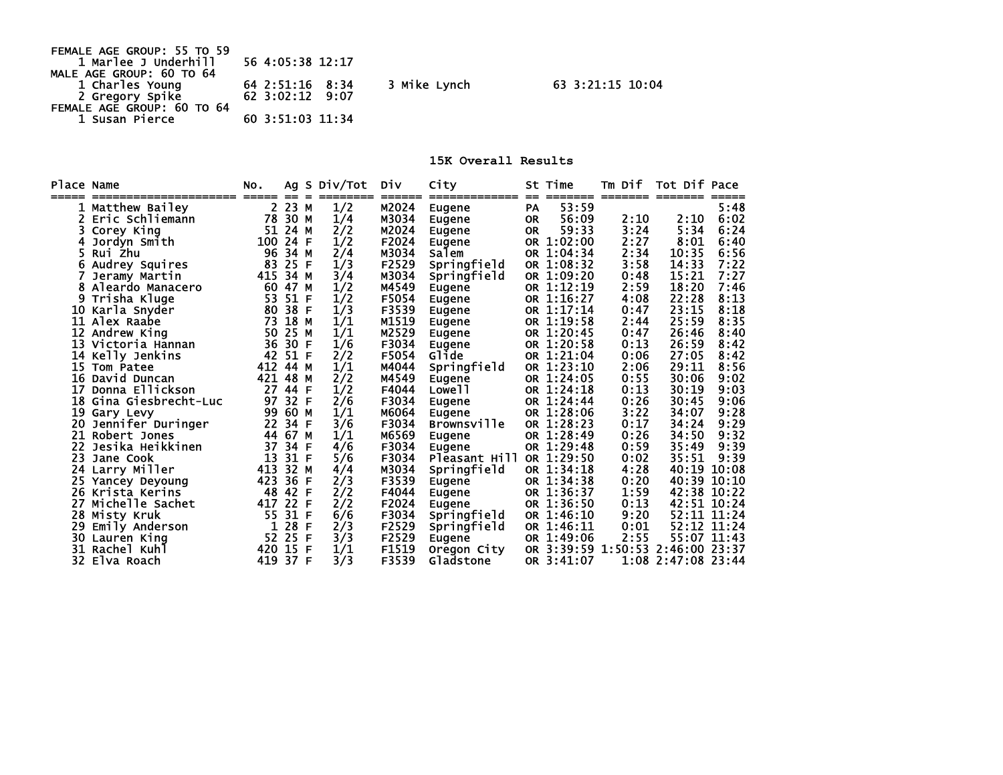| FEMALE AGE GROUP: 55 TO 59 |                       |              |
|----------------------------|-----------------------|--------------|
| 1 Marlee J Underhill       | 56 4:05:38 12:17      |              |
| MALE AGE GROUP: 60 TO 64   |                       |              |
| 1 Charles Young            | 64 2:51:16 8:34       | 3 Mike Lynch |
| 2 Gregory Spike            | $62 \t3:02:12 \t9:07$ |              |
| FEMALE AGE GROUP: 60 TO 64 |                       |              |
| 1 Susan Pierce             | 60 3:51:03 11:34      |              |
|                            |                       |              |

**15K Overall Results** 

63 3:21:15 10:04

| Place Name | -------------------- | NO.        |           |    | Ag S Div/Tot | Div   | City<br>------------- | $=$       | St Time<br>======= | Tm Dif<br>======== ======= | Tot Dif Pace          |             |
|------------|----------------------|------------|-----------|----|--------------|-------|-----------------------|-----------|--------------------|----------------------------|-----------------------|-------------|
|            | Matthew Bailey       | =====<br>2 | $=$<br>23 | М  | 1/2          | M2024 | Eugene                | <b>PA</b> | 53:59              |                            |                       | 5:48        |
|            | Eric Schliemann      | 78         | 30 M      |    | 1/4          | M3034 | Eugene                | <b>OR</b> | 56:09              | 2:10                       | 2:10                  | 6:02        |
|            | Corey King           | 51         | 24 M      |    | 2/2          | M2024 | Eugene                | <b>OR</b> | 59:33              | 3:24                       | 5:34                  | 6:24        |
|            | Jordyn Smith         | 100        | 24        | -F | 1/2          | F2024 | Eugene                | <b>OR</b> | 1:02:00            | 2:27                       | 8:01                  | 6:40        |
| 5.         | Rui Zhu              | 96         | 34        | М  | 2/4          | M3034 | Salem                 |           | OR 1:04:34         | 2:34                       | 10:35                 | 6:56        |
|            | Audrey Squires       | 83         | 25        | -F | 1/3          | F2529 | Springfield           |           | OR 1:08:32         | 3:58                       | 14:33                 | 7:22        |
|            | Jeramy Martin        | 415        | 34        | м  | 3/4          | M3034 | Springfield           |           | OR 1:09:20         | 0:48                       | 15:21                 | 7:27        |
|            | Aleardo Manacero     | 60         | 47        | М  | 1/2          | M4549 | Eugene                |           | OR 1:12:19         | 2:59                       | 18:20                 | 7:46        |
| 9          | Trisha Kluge         | 53         | 51        | F  | 1/2          | F5054 | Eugene                |           | OR 1:16:27         | 4:08                       | 22:28                 | 8:13        |
| 10         | Karla Snyder         | 80         | 38        | E  | 1/3          | F3539 | Eugene                |           | OR 1:17:14         | 0:47                       | 23:15                 | 8:18        |
| 11         | Alex Raabe           | 73         | 18        | M  | 1/1          | M1519 | Eugene                |           | OR 1:19:58         | 2:44                       | 25:59                 | 8:35        |
|            | 12 Andrew King       | 50         | 25        | M  | 1/1          | M2529 | Eugene                |           | OR 1:20:45         | 0:47                       | 26:46                 | 8:40        |
|            | 13 Victoria Hannan   | 36         | 30        | F  | 1/6          | F3034 | Eugene                |           | OR 1:20:58         | 0:13                       | 26:59                 | 8:42        |
| 14         | Kelly Jenkins        | 42         | 51        | F  | 2/2          | F5054 | Glide                 |           | OR 1:21:04         | 0:06                       | 27:05                 | 8:42        |
| 15         | Tom Patee            | 412        | 44        | М  | 1/1          | M4044 | Springfield           |           | OR 1:23:10         | 2:06                       | 29:11                 | 8:56        |
| 16         | David Duncan         | 421        | 48        | M  | 2/2          | M4549 | Eugene                |           | OR 1:24:05         | 0:55                       | 30:06                 | 9:02        |
| 17         | Donna Ellickson      | 27         | 44        | E  | 1/2          | F4044 | Lowe <sub>11</sub>    |           | OR 1:24:18         | 0:13                       | 30:19                 | 9:03        |
| 18         | Gina Giesbrecht-Luc  | 97         | 32        | E  | 2/6          | F3034 | Eugene                |           | OR 1:24:44         | 0:26                       | 30:45                 | 9:06        |
| 19         | Gary Levy            | 99         | 60        | M  | 1/1          | M6064 | Eugene                |           | OR 1:28:06         | 3:22                       | 34:07                 | 9:28        |
| 20         | Jennifer Duringer    | 22         | 34        | -F | 3/6          | F3034 | Brownsville           |           | OR 1:28:23         | 0:17                       | 34:24                 | 9:29        |
| 21         | Robert Jones         | 44         | 67        | М  | 1/1          | M6569 | Eugene                |           | OR 1:28:49         | 0:26                       | 34:50                 | 9:32        |
| 22         | Jesika Heikkinen     | 37         | 34        | E  | 4/6          | F3034 | Eugene                |           | OR 1:29:48         | 0:59                       | 35:49                 | 9:39        |
| 23.        | Jane Cook            | 13         | 31        | E  | 5/6          | F3034 | Pleasant Hill         |           | OR 1:29:50         | 0:02                       | 35:51                 | 9:39        |
|            | 24 Larry Miller      | 413        | 32        | М  | 4/4          | M3034 | Springfield           |           | OR 1:34:18         | 4:28                       | 40:19                 | 10:08       |
| 25         | Yancey Deyoung       | 423        | 36        | F  | 2/3          | F3539 | Eugene                |           | OR 1:34:38         | 0:20                       | 40:39                 | 10:10       |
| 26         | Krista Kerins        | 48         | 42        | F  | 2/2          | F4044 | Eugene                |           | OR 1:36:37         | 1:59                       | 42:38                 | 10:22       |
| 27         | Michelle Sachet      | 417        | 22        | F  | 2/2          | F2024 | Eugene                |           | OR 1:36:50         | 0:13                       |                       | 42:51 10:24 |
| 28.        | Misty Kruk           | 55         | 31        | E  | 6/6          | F3034 | Springfield           |           | OR 1:46:10         | 9:20                       | 52:11                 | 11:24       |
| 29         | Emily Anderson       | 1          | 28        | F  | 2/3          | F2529 | Springfield           |           | OR 1:46:11         | 0:01                       |                       | 52:12 11:24 |
| 30         | Lauren King          | 52         | 25        |    | 3/3          | F2529 | Eugene                |           | OR 1:49:06         | 2:55                       |                       | 55:07 11:43 |
| 31         | Rachel Kuhl          | 420        | 15        | F  | 1/1          | F1519 | Oregon City           | <b>OR</b> | 3:39:59            |                            | 1:50:53 2:46:00 23:37 |             |
|            | 32 Elva Roach        | 419        | 37        | F  | 3/3          | F3539 | Gladstone             |           | OR 3:41:07         |                            | $1:08$ $2:47:08$      | -23:44      |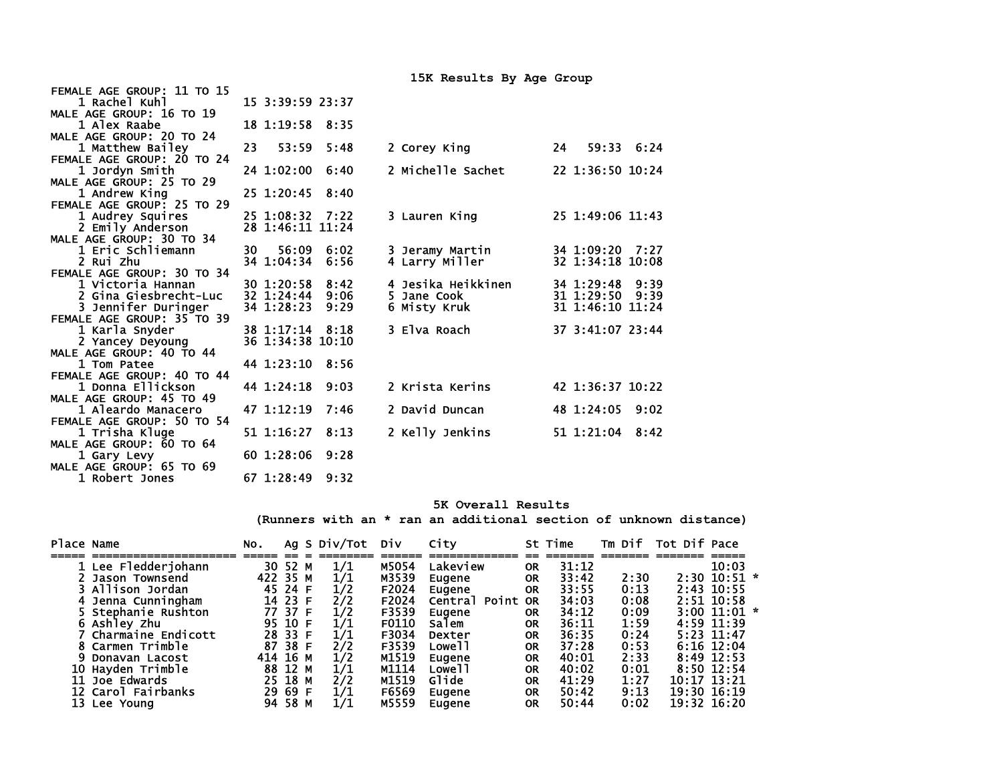| FEMALE AGE GROUP: 11 TO 15 |                  |            |                    |                    |
|----------------------------|------------------|------------|--------------------|--------------------|
| 1 Rachel Kuhl              | 15 3:39:59 23:37 |            |                    |                    |
| MALE AGE GROUP: 16 TO 19   |                  |            |                    |                    |
| 1 Alex Raabe               | 18 1:19:58 8:35  |            |                    |                    |
| MALE AGE GROUP: 20 TO 24   |                  |            |                    |                    |
| 1 Matthew Bailey           | 53:59<br>23      | 5:48       | 2 Corey King       | 59:33 6:24<br>24   |
| FEMALE AGE GROUP: 20 TO 24 |                  |            |                    |                    |
| 1 Jordyn Smith             | 24 1:02:00       | 6:40       | 2 Michelle Sachet  | 22 1:36:50 10:24   |
| MALE AGE GROUP: 25 TO 29   |                  |            |                    |                    |
| 1 Andrew Kina              | 25 1:20:45       | 8:40       |                    |                    |
| FEMALE AGE GROUP: 25 TO 29 |                  |            |                    |                    |
| 1 Audrey Squires           | 25 1:08:32 7:22  |            | 3 Lauren King      | 25 1:49:06 11:43   |
| 2 Emily Anderson           | 28 1:46:11 11:24 |            |                    |                    |
| MALE AGE GROUP: 30 TO 34   |                  |            |                    |                    |
| 1 Eric Schliemann          | 30 —             | 56:09 6:02 | 3 Jeramy Martin    | 34 1:09:20 7:27    |
| 2 Rui Zhu                  | 34 1:04:34       | 6:56       | 4 Larry Miller     | 32 1:34:18 10:08   |
| FEMALE AGE GROUP: 30 TO 34 |                  |            |                    |                    |
| 1 Victoria Hannan          | 30 1:20:58       | 8:42       | 4 Jesika Heikkinen | 34 1:29:48 9:39    |
| 2 Gina Giesbrecht-Luc      | 32 1:24:44       | 9:06       | 5 Jane Cook        | 31 1:29:50<br>9:39 |
| 3 Jennifer Duringer        | 34 1:28:23       | 9:29       | 6 Misty Kruk       | 31 1:46:10 11:24   |
| FEMALE AGE GROUP: 35 TO 39 |                  |            |                    |                    |
| 1 Karla Snyder             | 38 1:17:14 8:18  |            | 3 Elva Roach       | 37 3:41:07 23:44   |
| 2 Yancey Deyoung           | 36 1:34:38 10:10 |            |                    |                    |
| MALE AGE GROUP: 40 TO 44   |                  |            |                    |                    |
| 1 Tom Patee                | 44 1:23:10       | 8:56       |                    |                    |
| FEMALE AGE GROUP: 40 TO 44 |                  |            |                    |                    |
| 1 Donna Ellickson          | 44 1:24:18       | 9:03       | 2 Krista Kerins    | 42 1:36:37 10:22   |
| MALE AGE GROUP: 45 TO 49   |                  |            |                    |                    |
| 1 Aleardo Manacero         | 47 1:12:19       | 7:46       | 2 David Duncan     | 48 1:24:05 9:02    |
| FEMALE AGE GROUP: 50 TO 54 |                  |            |                    |                    |
| 1 Trisha Kluge             | 51 1:16:27       | 8:13       | 2 Kelly Jenkins    | 51 1:21:04 8:42    |
| MALE AGE GROUP: 60 TO 64   |                  |            |                    |                    |
| 1 Gary Levy                | 60 1:28:06       | 9:28       |                    |                    |
| MALE AGE GROUP: 65 TO 69   |                  |            |                    |                    |
| 1 Robert Jones             | 67 1:28:49       | 9:32       |                    |                    |

67 1:28:49 9:32

## **5K Overall Results**

**15K Results By Age Group** 

**(Runners with an \* ran an additional section of unknown distance)** 

| Place Name |                       | NO.      |         | Ag S Div/Tot Div |       | City               |           | St Time |      | Tm Dif Tot Dif Pace |                  |  |
|------------|-----------------------|----------|---------|------------------|-------|--------------------|-----------|---------|------|---------------------|------------------|--|
|            | 1 Lee Fledderjohann   |          | 30 52 M | 1/1              | M5054 | Lakeview           | <b>OR</b> | 31:12   |      |                     | 10:03            |  |
|            | 2 Jason Townsend      | 422 35 M |         | 1/1              | M3539 | Eugene             | <b>OR</b> | 33:42   | 2:30 |                     | $2:30$ 10:51 $*$ |  |
|            | 3 Allison Jordan      |          | 45 24 F | 1/2              | F2024 | Eugene             | <b>OR</b> | 33:55   | 0:13 |                     | 2:43 10:55       |  |
|            | 4 Jenna Cunningham    |          | 14 23 F | 2/2              | F2024 | Central Point OR   |           | 34:03   | 0:08 |                     | $2:51$ 10:58     |  |
|            | 5 Stephanie Rushton   |          | 77 37 F | 1/2              | F3539 | Eugene             | <b>OR</b> | 34:12   | 0:09 |                     | $3:00$ 11:01 $*$ |  |
|            | 6 Ashley Zhu          |          | 95 10 F | 1/1              | F0110 | Salem              | <b>OR</b> | 36:11   | 1:59 |                     | 4:59 11:39       |  |
|            | 7 Charmaine Endicott  |          | 28 33 F | 1/1              | F3034 | Dexter             | <b>OR</b> | 36:35   | 0:24 |                     | $5:23$ 11:47     |  |
|            | 8 Carmen Trimble      |          | 87 38 F | 2/2              | F3539 | Lowe 11            | <b>OR</b> | 37:28   | 0:53 |                     | $6:16$ 12:04     |  |
|            | 9 Donavan Lacost      | 414 16 M |         | 1/2              | M1519 | Eugene             | <b>OR</b> | 40:01   | 2:33 |                     | $8:49$ 12:53     |  |
|            | Hayden Trimble        |          | 88 12 M | 1/1              | M1114 | Lowe <sub>11</sub> | <b>OR</b> | 40:02   | 0:01 |                     | $8:50$ 12:54     |  |
|            | <b>11 Joe Edwards</b> |          | 25 18 M | 2/2              | M1519 | Glide              | <b>OR</b> | 41:29   | 1:27 | $10:17$ $13:21$     |                  |  |
|            | 12 Carol Fairbanks    |          | 29 69 F | 1/1              | F6569 | Eugene             | <b>OR</b> | 50:42   | 9:13 | 19:30 16:19         |                  |  |
|            | 13 Lee Young          |          | 94 58 M | 1/1              | M5559 | Eugene             | ΟR        | 50:44   | 0:02 | 19:32 16:20         |                  |  |